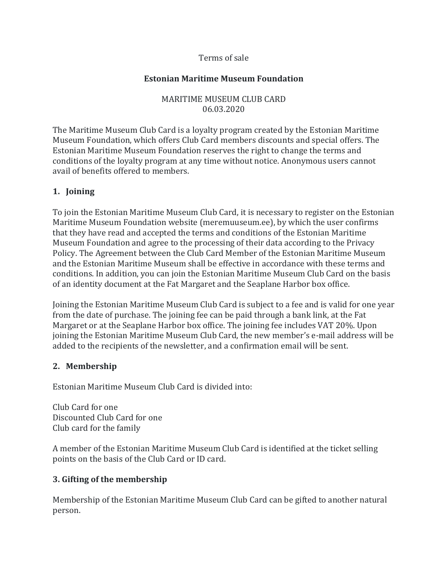#### Terms of sale

#### **Estonian Maritime Museum Foundation**

MARITIME MUSEUM CLUB CARD 06.03.2020

The Maritime Museum Club Card is a loyalty program created by the Estonian Maritime Museum Foundation, which offers Club Card members discounts and special offers. The Estonian Maritime Museum Foundation reserves the right to change the terms and conditions of the loyalty program at any time without notice. Anonymous users cannot avail of benefits offered to members.

#### **1. Joining**

To join the Estonian Maritime Museum Club Card, it is necessary to register on the Estonian Maritime Museum Foundation website (meremuuseum.ee), by which the user confirms that they have read and accepted the terms and conditions of the Estonian Maritime Museum Foundation and agree to the processing of their data according to the Privacy Policy. The Agreement between the Club Card Member of the Estonian Maritime Museum and the Estonian Maritime Museum shall be effective in accordance with these terms and conditions. In addition, you can join the Estonian Maritime Museum Club Card on the basis of an identity document at the Fat Margaret and the Seaplane Harbor box office.

Joining the Estonian Maritime Museum Club Card is subject to a fee and is valid for one year from the date of purchase. The joining fee can be paid through a bank link, at the Fat Margaret or at the Seaplane Harbor box office. The joining fee includes VAT 20%. Upon joining the Estonian Maritime Museum Club Card, the new member's e-mail address will be added to the recipients of the newsletter, and a confirmation email will be sent.

# **2. Membership**

Estonian Maritime Museum Club Card is divided into:

Club Card for one Discounted Club Card for one Club card for the family

A member of the Estonian Maritime Museum Club Card is identified at the ticket selling points on the basis of the Club Card or ID card.

# **3. Gifting of the membership**

Membership of the Estonian Maritime Museum Club Card can be gifted to another natural person.